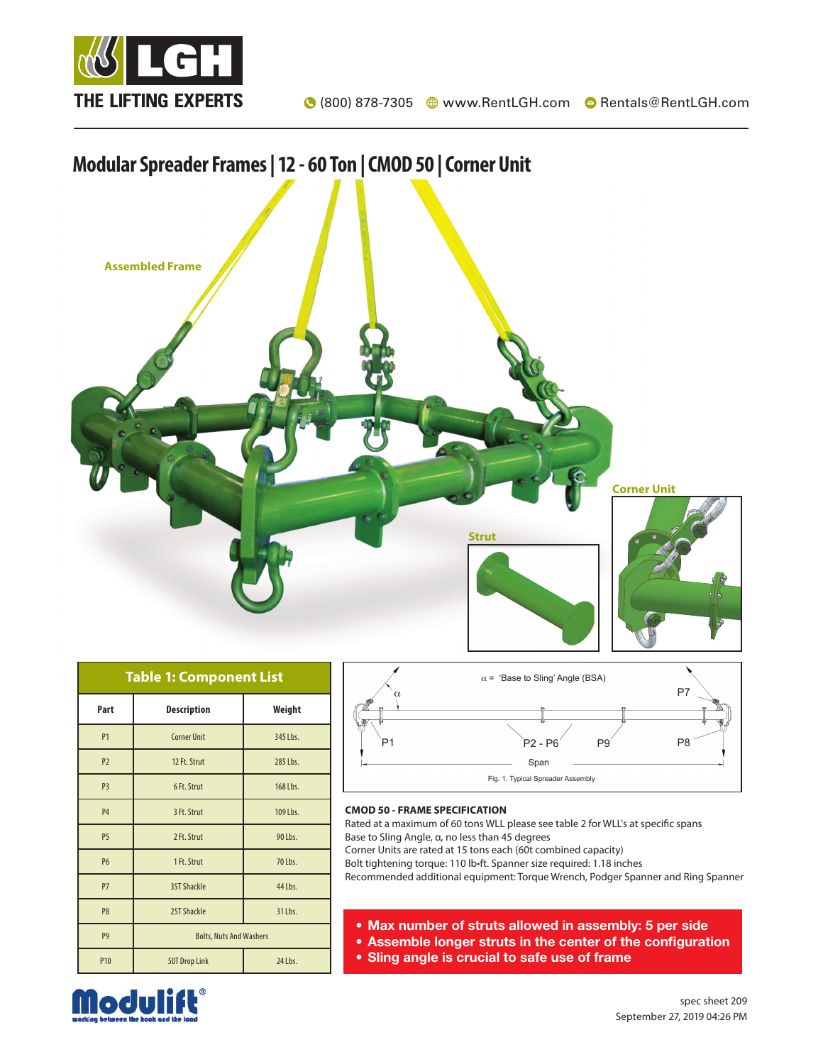



| <b>Table 1: Component List</b> |                                |          |  |  |  |  |  |  |
|--------------------------------|--------------------------------|----------|--|--|--|--|--|--|
| Part                           | <b>Description</b>             | Weight   |  |  |  |  |  |  |
| P <sub>1</sub>                 | <b>Corner Unit</b>             | 345 Lbs. |  |  |  |  |  |  |
| P <sub>2</sub>                 | 12 Ft. Strut                   | 285 Lbs. |  |  |  |  |  |  |
| P <sub>3</sub>                 | 6 Ft. Strut                    | 168 Lbs. |  |  |  |  |  |  |
| <b>P4</b>                      | 3 Ft. Strut                    | 109 Lbs. |  |  |  |  |  |  |
| P <sub>5</sub>                 | 2 Ft. Strut                    | 90 Lbs.  |  |  |  |  |  |  |
| <b>P6</b>                      | 1 Ft. Strut                    | 70 Lbs.  |  |  |  |  |  |  |
| P7                             | 35T Shackle                    | 44 Lbs.  |  |  |  |  |  |  |
| P <sub>8</sub>                 | 25T Shackle                    | 31 Lbs.  |  |  |  |  |  |  |
| P <sub>9</sub>                 | <b>Bolts, Nuts And Washers</b> |          |  |  |  |  |  |  |
| P <sub>10</sub>                | 50T Drop Link                  | 24 Lbs.  |  |  |  |  |  |  |



## **CMOD 50 - FRAME SPECIFICATION**

Rated at a maximum of 60 tons WLL please see table 2 for WLL's at specific spans Base to Sling Angle, α, no less than 45 degrees

Corner Units are rated at 15 tons each (60t combined capacity)

Bolt tightening torque: 110 lb•ft. Spanner size required: 1.18 inches

Recommended additional equipment: Torque Wrench, Podger Spanner and Ring Spanner

- Max number of struts allowed in assembly: 5 per side
- Assemble longer struts in the center of the configuration
- Sling angle is crucial to safe use of frame